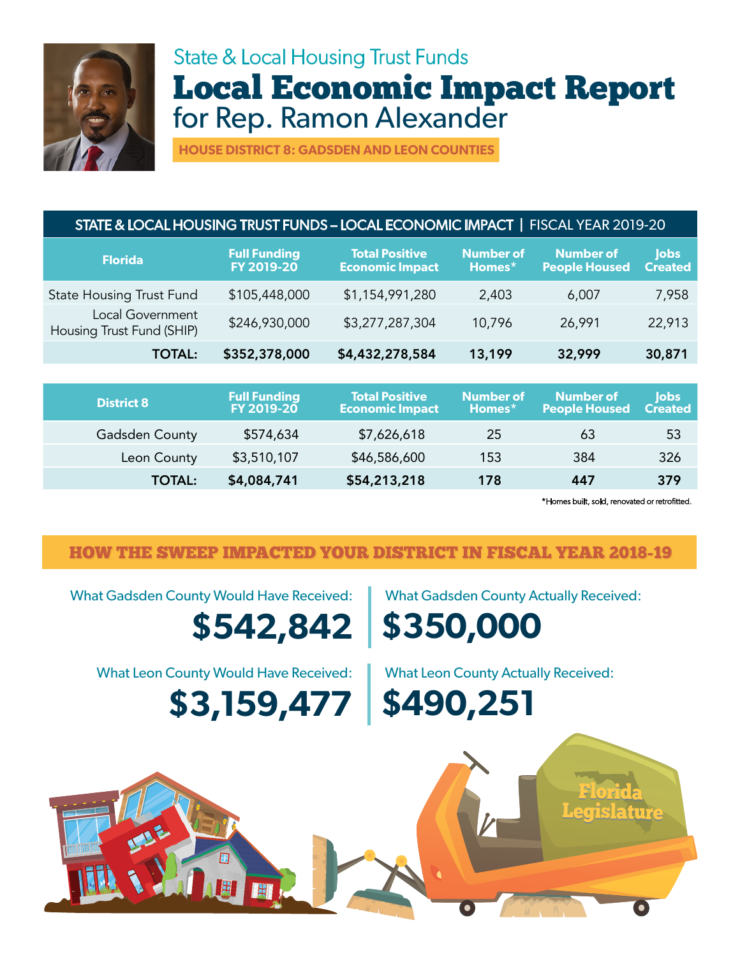

## State & Local Housing Trust Funds Local Economic Impact Report for Rep. Ramon Alexander

**HOUSE DISTRICT 8: GADSDEN AND LEON COUNTIES**

## STATE & LOCAL HOUSING TRUST FUNDS – LOCAL ECONOMIC IMPACT **|** FISCAL YEAR 2019-20

| <b>Florida</b>                                | <b>Full Funding</b><br>FY 2019-20 | <b>Total Positive</b><br><b>Economic Impact</b> | <b>Number of</b><br>Homes* | <b>Number of</b><br><b>People Housed</b> | lobs<br><b>Created</b> |
|-----------------------------------------------|-----------------------------------|-------------------------------------------------|----------------------------|------------------------------------------|------------------------|
| <b>State Housing Trust Fund</b>               | \$105,448,000                     | \$1,154,991,280                                 | 2,403                      | 6,007                                    | 7,958                  |
| Local Government<br>Housing Trust Fund (SHIP) | \$246,930,000                     | \$3,277,287,304                                 | 10,796                     | 26,991                                   | 22,913                 |
| <b>TOTAL:</b>                                 | \$352,378,000                     | \$4,432,278,584                                 | 13,199                     | 32,999                                   | 30,871                 |

| <b>District 8</b> | <b>Full Funding</b><br><b>FY 2019-20</b> | <b>Total Positive</b><br><b>Economic Impact</b> | <b>Number of</b><br>Homes* | <b>Number of</b><br><b>People Housed</b> | lobs<br><b>Created</b> |
|-------------------|------------------------------------------|-------------------------------------------------|----------------------------|------------------------------------------|------------------------|
| Gadsden County    | \$574,634                                | \$7,626,618                                     | 25                         | 63                                       | 53                     |
| Leon County       | \$3,510,107                              | \$46,586,600                                    | 153                        | 384                                      | 326                    |
| <b>TOTAL:</b>     | \$4,084,741                              | \$54,213,218                                    | 178                        | 447                                      | 379                    |

\*Homes built, sold, renovated or retrofitted.

Florida Legislature Florida Legislature

## HOW THE SWEEP IMPACTED YOUR DISTRICT IN FISCAL YEAR 2018-19

What Gadsden County Would Have Received: What Gadsden County Actually Received:

**\$542,842 \$350,000**

What Leon County Would Have Received: What Leon County Actually Received:

**\$3,159,477 \$490,251**